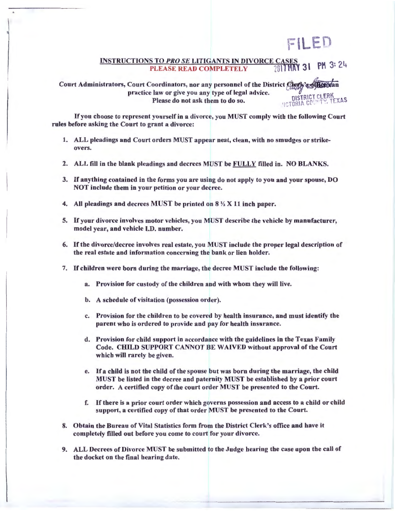## FILED

## **INSTRUCTIONS TO PRO SE LITIGANTS IN DIVORCE CASES** PLEASE READ COMPLETELY 2017HAY 31

Court Administrators, Court Coordinators, nor any personnel of the District Cherk's of the ban practice law or give you any type of legal advice. Please do not ask them to do so. OISTRICT CLERK

If you choose to represent yourself in a divorce, you MUST comply with the following Court rules before asking the Court to grant a divorce:

- 1. ALL pleadings and Court orders MUST appear neat, clean, with no smudges or strikeovers.
- 2. ALL fill in the blank pleadings and decrees MUST be FULLY filled in. NO BLANKS.
- 3. If anything contained in the forms you are using do not apply to you and your spouse, DO NOT include them in your petition or your decree.
- 4. All pleadings and decrees MUST be printed on 8 *Yz* X 11 inch paper.
- 5. If your divorce involves motor vehicles, you MUST describe the vehicle by manufacturer, model year, and vehicle J.D. number.
- 6. If the divorce/decree involves real estate, ou MUST include the proper legal description of the real estate and information concerning the bank or lien holder.
- 7. If children were born during the marriage, the decree MUST include the following:
	- a. Provision for custody of the children and with whom they will live.
	- b. A schedule of visitation (possession order).
	- c. Provision for the children to be covered by health insurance, and must identify the parent who is ordered to provide and pay for health insurance.
	- d. Provision for child support in accordance with the guidelines in the Texas Family Code. CHILD SUPPORT CANNOT BE WAIVED without approval of the Court which will rarely be given.
	- e. If a child is not the child of the spouse but was born during the marriage, the child MUST be listed in the decree and paternity MUST be established by a prior court order. A certified copy of the court order MUST be presented to the Court.
	- f. If there is a prior court order which governs posses ion and access to a child or child support, a certified copy of that order MUST be presented to the Court.
- 8. Obtain the Bureau of Vital Statistics form from the District Clerk's office and have it completely filled out before you come to court for your divorce.
- 9. ALL Decrees of Divorce MUST be submitted to the Judge hearing the case upon the call of the docket on the final hearing date.